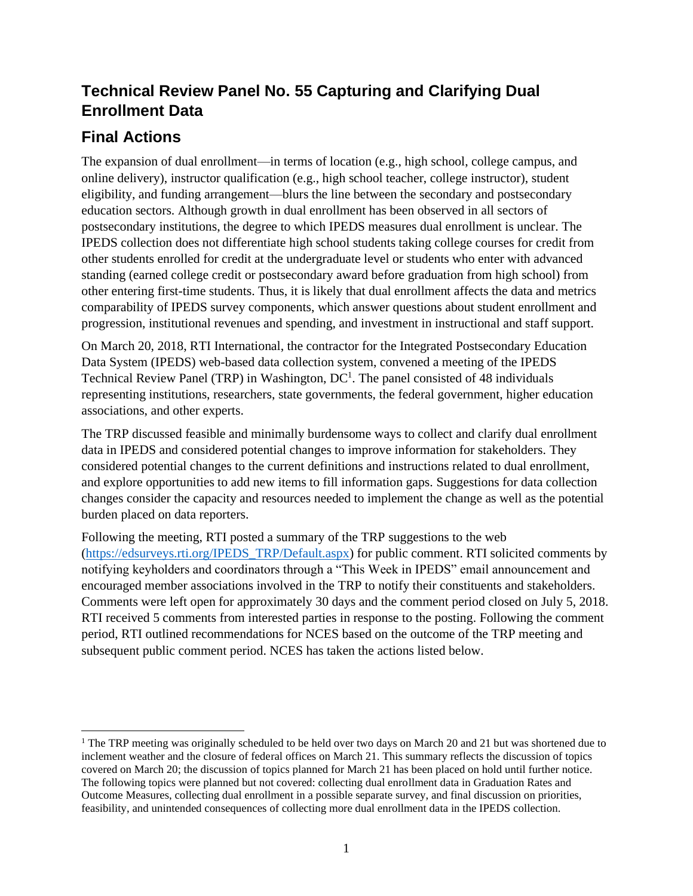# **Technical Review Panel No. 55 Capturing and Clarifying Dual Enrollment Data**

## **Final Actions**

The expansion of dual enrollment—in terms of location (e.g., high school, college campus, and online delivery), instructor qualification (e.g., high school teacher, college instructor), student eligibility, and funding arrangement—blurs the line between the secondary and postsecondary education sectors. Although growth in dual enrollment has been observed in all sectors of postsecondary institutions, the degree to which IPEDS measures dual enrollment is unclear. The IPEDS collection does not differentiate high school students taking college courses for credit from other students enrolled for credit at the undergraduate level or students who enter with advanced standing (earned college credit or postsecondary award before graduation from high school) from other entering first-time students. Thus, it is likely that dual enrollment affects the data and metrics comparability of IPEDS survey components, which answer questions about student enrollment and progression, institutional revenues and spending, and investment in instructional and staff support.

On March 20, 2018, RTI International, the contractor for the Integrated Postsecondary Education Data System (IPEDS) web-based data collection system, convened a meeting of the IPEDS Technical Review Panel (TRP) in Washington,  $DC<sup>1</sup>$ . The panel consisted of 48 individuals representing institutions, researchers, state governments, the federal government, higher education associations, and other experts.

The TRP discussed feasible and minimally burdensome ways to collect and clarify dual enrollment data in IPEDS and considered potential changes to improve information for stakeholders. They considered potential changes to the current definitions and instructions related to dual enrollment, and explore opportunities to add new items to fill information gaps. Suggestions for data collection changes consider the capacity and resources needed to implement the change as well as the potential burden placed on data reporters.

Following the meeting, RTI posted a summary of the TRP suggestions to the web [\(https://edsurveys.rti.org/IPEDS\\_TRP/Default.aspx\)](https://edsurveys.rti.org/IPEDS_TRP/Default.aspx) for public comment. RTI solicited comments by notifying keyholders and coordinators through a "This Week in IPEDS" email announcement and encouraged member associations involved in the TRP to notify their constituents and stakeholders. Comments were left open for approximately 30 days and the comment period closed on July 5, 2018. RTI received 5 comments from interested parties in response to the posting. Following the comment period, RTI outlined recommendations for NCES based on the outcome of the TRP meeting and subsequent public comment period. NCES has taken the actions listed below.

<sup>&</sup>lt;sup>1</sup> The TRP meeting was originally scheduled to be held over two days on March 20 and 21 but was shortened due to inclement weather and the closure of federal offices on March 21. This summary reflects the discussion of topics covered on March 20; the discussion of topics planned for March 21 has been placed on hold until further notice. The following topics were planned but not covered: collecting dual enrollment data in Graduation Rates and Outcome Measures, collecting dual enrollment in a possible separate survey, and final discussion on priorities, feasibility, and unintended consequences of collecting more dual enrollment data in the IPEDS collection.